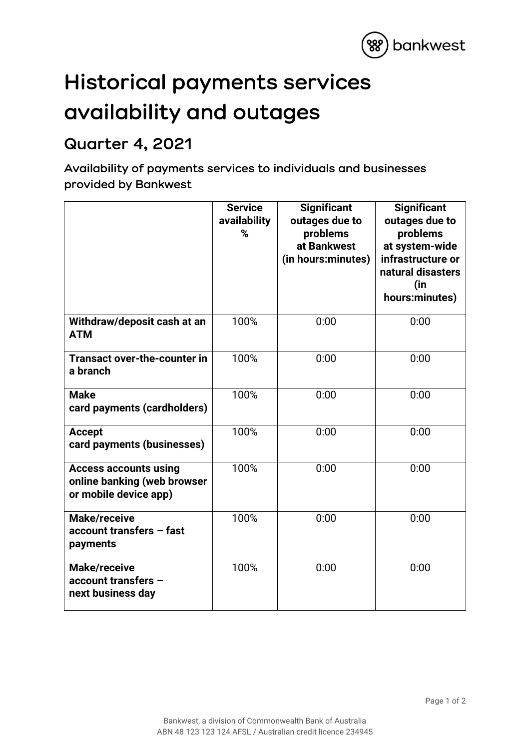

## **Historical payments services availability and outages**

## **Quarter 4, 2021**

**Availability of payments services to individuals and businesses provided by Bankwest**

|                                                                                      | <b>Service</b><br>availability<br>% | <b>Significant</b><br>outages due to<br>problems<br>at Bankwest<br>(in hours:minutes) | <b>Significant</b><br>outages due to<br>problems<br>at system-wide<br>infrastructure or<br>natural disasters<br>(in<br>hours:minutes) |
|--------------------------------------------------------------------------------------|-------------------------------------|---------------------------------------------------------------------------------------|---------------------------------------------------------------------------------------------------------------------------------------|
| Withdraw/deposit cash at an<br><b>ATM</b>                                            | 100%                                | 0:00                                                                                  | 0:00                                                                                                                                  |
| <b>Transact over-the-counter in</b><br>a branch                                      | 100%                                | 0:00                                                                                  | 0:00                                                                                                                                  |
| <b>Make</b><br>card payments (cardholders)                                           | 100%                                | 0:00                                                                                  | 0:00                                                                                                                                  |
| <b>Accept</b><br>card payments (businesses)                                          | 100%                                | 0:00                                                                                  | 0:00                                                                                                                                  |
| <b>Access accounts using</b><br>online banking (web browser<br>or mobile device app) | 100%                                | 0:00                                                                                  | 0:00                                                                                                                                  |
| <b>Make/receive</b><br>account transfers - fast<br>payments                          | 100%                                | 0:00                                                                                  | 0:00                                                                                                                                  |
| <b>Make/receive</b><br>account transfers -<br>next business day                      | 100%                                | 0:00                                                                                  | 0:00                                                                                                                                  |